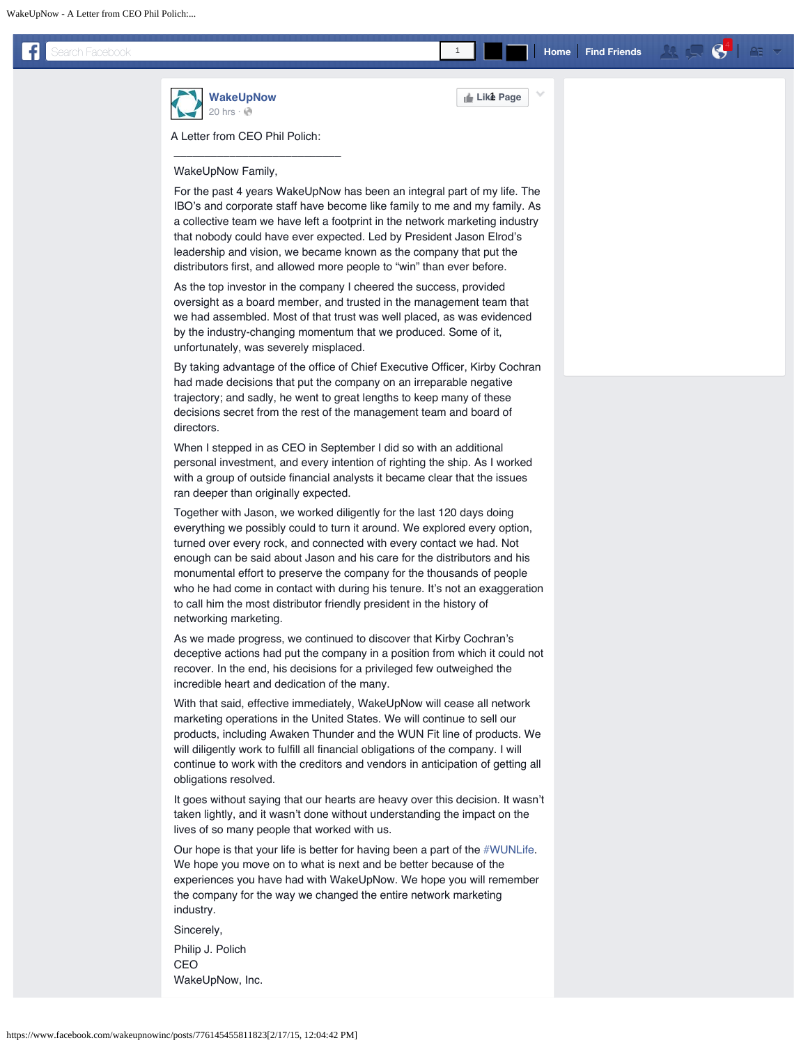<span id="page-0-0"></span>**[WakeUpNow](https://www.facebook.com/wakeupnowinc?fref=nf)** [20 hrs](#page-0-0) $\cdot$   $\odot$ 

**Like Page** 1

1

A Letter from CEO Phil Polich:

 $\overline{\phantom{a}}$  , we can also assume that the contract of  $\overline{\phantom{a}}$ 

## WakeUpNow Family,

 For the past 4 years WakeUpNow has been an integral part of my life. The IBO's and corporate staff have become like family to me and my family. As a collective team we have left a footprint in the network marketing industry that nobody could have ever expected. Led by President Jason Elrod's leadership and vision, we became known as the company that put the distributors first, and allowed more people to "win" than ever before.

 As the top investor in the company I cheered the success, provided oversight as a board member, and trusted in the management team that we had assembled. Most of that trust was well placed, as was evidenced by the industry-changing momentum that we produced. Some of it, unfortunately, was severely misplaced.

 By taking advantage of the office of Chief Executive Officer, Kirby Cochran had made decisions that put the company on an irreparable negative trajectory; and sadly, he went to great lengths to keep many of these decisions secret from the rest of the management team and board of directors.

 When I stepped in as CEO in September I did so with an additional personal investment, and every intention of righting the ship. As I worked with a group of outside financial analysts it became clear that the issues ran deeper than originally expected.

 Together with Jason, we worked diligently for the last 120 days doing everything we possibly could to turn it around. We explored every option, turned over every rock, and connected with every contact we had. Not enough can be said about Jason and his care for the distributors and his monumental effort to preserve the company for the thousands of people who he had come in contact with during his tenure. It's not an exaggeration to call him the most distributor friendly president in the history of networking marketing.

 As we made progress, we continued to discover that Kirby Cochran's deceptive actions had put the company in a position from which it could not recover. In the end, his decisions for a privileged few outweighed the incredible heart and dedication of the many.

 With that said, effective immediately, WakeUpNow will cease all network marketing operations in the United States. We will continue to sell our products, including Awaken Thunder and the WUN Fit line of products. We will diligently work to fulfill all financial obligations of the company. I will continue to work with the creditors and vendors in anticipation of getting all obligations resolved.

 It goes without saying that our hearts are heavy over this decision. It wasn't taken lightly, and it wasn't done without understanding the impact on the lives of so many people that worked with us.

 Our hope is that your life is better for having been a part of the [#WUNLife.](https://www.facebook.com/hashtag/wunlife?source=feed_text&story_id=776145455811823) We hope you move on to what is next and be better because of the experiences you have had with WakeUpNow. We hope you will remember the company for the way we changed the entire network marketing industry.

Sincerely,

 Philip J. Polich CEO WakeUpNow, Inc.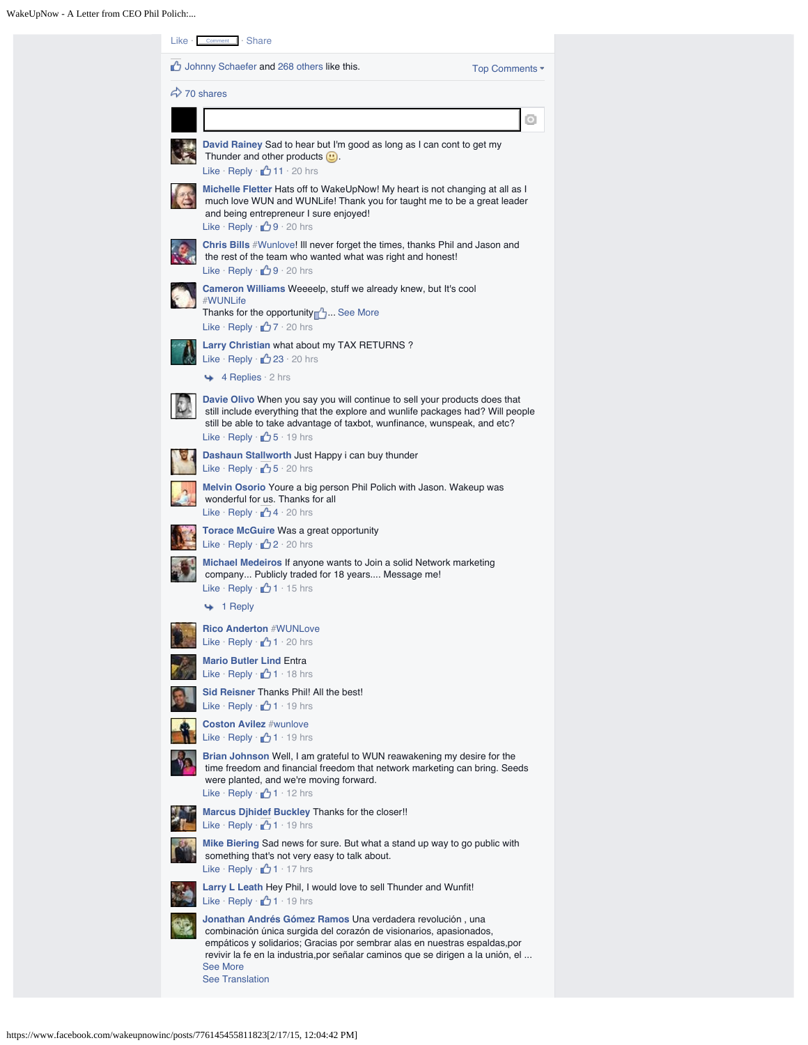| $Like \cdot$ Comment $\cdot$ Share                                                                                                                                                                                                                                                                                                      |         |
|-----------------------------------------------------------------------------------------------------------------------------------------------------------------------------------------------------------------------------------------------------------------------------------------------------------------------------------------|---------|
| Johnny Schaefer and 268 others like this.<br>Top Comments ▼                                                                                                                                                                                                                                                                             |         |
| $\leftrightarrow$ 70 shares                                                                                                                                                                                                                                                                                                             |         |
|                                                                                                                                                                                                                                                                                                                                         | $\circ$ |
| David Rainey Sad to hear but I'm good as long as I can cont to get my<br>Thunder and other products $\mathbf{u}$ .<br>Like Reply $\bigcirc$ 11 $\cdot$ 20 hrs                                                                                                                                                                           |         |
| Michelle Fletter Hats off to WakeUpNow! My heart is not changing at all as I<br>much love WUN and WUNLife! Thank you for taught me to be a great leader<br>and being entrepreneur I sure enjoyed!<br>Like Reply $\bigoplus$ 9 · 20 hrs                                                                                                  |         |
| <b>Chris Bills</b> #Wunlove! III never forget the times, thanks Phil and Jason and<br>the rest of the team who wanted what was right and honest!<br>Like Reply $\bigoplus$ 9 · 20 hrs                                                                                                                                                   |         |
| Cameron Williams Weeeelp, stuff we already knew, but It's cool<br>#WUNLife<br>See More Thanks for the opportunity<br>Like Reply $\Box$ 7 · 20 hrs                                                                                                                                                                                       |         |
| Larry Christian what about my TAX RETURNS?<br>Like · Reply · 23 · 20 hrs<br>$\leftrightarrow$ 4 Replies $\cdot$ 2 hrs                                                                                                                                                                                                                   |         |
| Davie Olivo When you say you will continue to sell your products does that<br>still include everything that the explore and wunlife packages had? Will people<br>still be able to take advantage of taxbot, wunfinance, wunspeak, and etc?<br>Like Reply $\Box$ 5 $\cdot$ 19 hrs                                                        |         |
| Dashaun Stallworth Just Happy i can buy thunder<br>Like · Reply · <u>••</u> 5 · 20 hrs                                                                                                                                                                                                                                                  |         |
| Melvin Osorio Youre a big person Phil Polich with Jason. Wakeup was<br>wonderful for us. Thanks for all<br>Like · Reply · <sup>1</sup> 4 · 20 hrs                                                                                                                                                                                       |         |
| Torace McGuire Was a great opportunity<br>Like Reply $\bigcirc$ 2 20 hrs                                                                                                                                                                                                                                                                |         |
| Michael Medeiros If anyone wants to Join a solid Network marketing<br>company Publicly traded for 18 years Message me!<br>Like Reply $\Box$ 1 · 15 hrs                                                                                                                                                                                  |         |
| $\leftrightarrow$ 1 Reply                                                                                                                                                                                                                                                                                                               |         |
| <b>Rico Anderton #WUNLove</b><br>Like Reply $\bigcirc$ 1 · 20 hrs                                                                                                                                                                                                                                                                       |         |
| <b>Mario Butler Lind Entra</b><br>Like Reply $\Box$ 1 · 18 hrs                                                                                                                                                                                                                                                                          |         |
| Sid Reisner Thanks Phil! All the best!<br>Like · Reply · <u>1</u> 1 · 19 hrs                                                                                                                                                                                                                                                            |         |
| <b>Coston Avilez #wunlove</b><br>Like Reply $\Box$ 1 · 19 hrs                                                                                                                                                                                                                                                                           |         |
| Brian Johnson Well, I am grateful to WUN reawakening my desire for the<br>time freedom and financial freedom that network marketing can bring. Seeds<br>were planted, and we're moving forward.<br>Like Reply $\bigcirc$ 1 · 12 hrs                                                                                                     |         |
| Marcus Djhidef Buckley Thanks for the closer!!<br>Like · Reply · 0 1 · 19 hrs                                                                                                                                                                                                                                                           |         |
| Mike Biering Sad news for sure. But what a stand up way to go public with<br>something that's not very easy to talk about.<br>Like Reply $\bigoplus$ 1 · 17 hrs                                                                                                                                                                         |         |
| Larry L Leath Hey Phil, I would love to sell Thunder and Wunfit!<br>Like Reply $\bigoplus$ 1 · 19 hrs                                                                                                                                                                                                                                   |         |
| Jonathan Andrés Gómez Ramos Una verdadera revolución, una<br>combinación única surgida del corazón de visionarios, apasionados,<br>empáticos y solidarios; Gracias por sembrar alas en nuestras espaldas, por<br>revivir la fe en la industria, por señalar caminos que se dirigen a la unión, el<br>See More<br><b>See Translation</b> |         |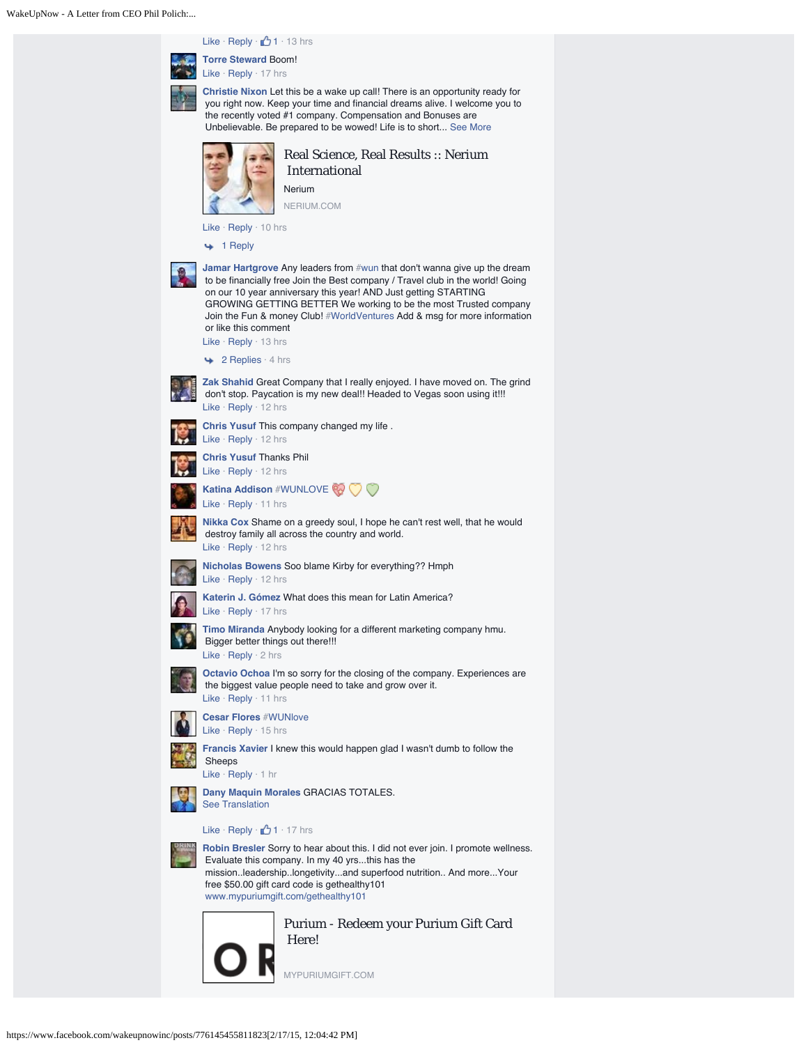WakeUpNow - A Letter from CEO Phil Polich:...